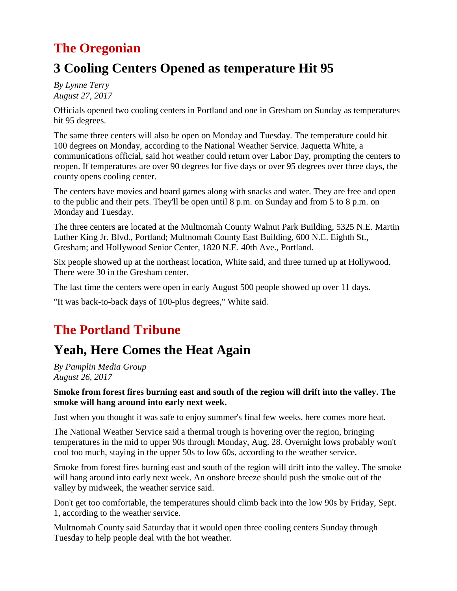## **The Oregonian**

## **3 Cooling Centers Opened as temperature Hit 95**

*By Lynne Terry August 27, 2017*

Officials opened two cooling centers in Portland and one in Gresham on Sunday as temperatures hit 95 degrees.

The same three centers will also be open on Monday and Tuesday. The temperature could hit 100 degrees on Monday, according to the National Weather Service. Jaquetta White, a communications official, said hot weather could return over Labor Day, prompting the centers to reopen. If temperatures are over 90 degrees for five days or over 95 degrees over three days, the county opens cooling center.

The centers have movies and board games along with snacks and water. They are free and open to the public and their pets. They'll be open until 8 p.m. on Sunday and from 5 to 8 p.m. on Monday and Tuesday.

The three centers are located at the Multnomah County Walnut Park Building, 5325 N.E. Martin Luther King Jr. Blvd., Portland; Multnomah County East Building, 600 N.E. Eighth St., Gresham; and Hollywood Senior Center, 1820 N.E. 40th Ave., Portland.

Six people showed up at the northeast location, White said, and three turned up at Hollywood. There were 30 in the Gresham center.

The last time the centers were open in early August 500 people showed up over 11 days.

"It was back-to-back days of 100-plus degrees," White said.

# **The Portland Tribune**

# **Yeah, Here Comes the Heat Again**

*By Pamplin Media Group August 26, 2017*

#### **Smoke from forest fires burning east and south of the region will drift into the valley. The smoke will hang around into early next week.**

Just when you thought it was safe to enjoy summer's final few weeks, here comes more heat.

The National Weather Service said a thermal trough is hovering over the region, bringing temperatures in the mid to upper 90s through Monday, Aug. 28. Overnight lows probably won't cool too much, staying in the upper 50s to low 60s, according to the weather service.

Smoke from forest fires burning east and south of the region will drift into the valley. The smoke will hang around into early next week. An onshore breeze should push the smoke out of the valley by midweek, the weather service said.

Don't get too comfortable, the temperatures should climb back into the low 90s by Friday, Sept. 1, according to the weather service.

Multnomah County said Saturday that it would open three cooling centers Sunday through Tuesday to help people deal with the hot weather.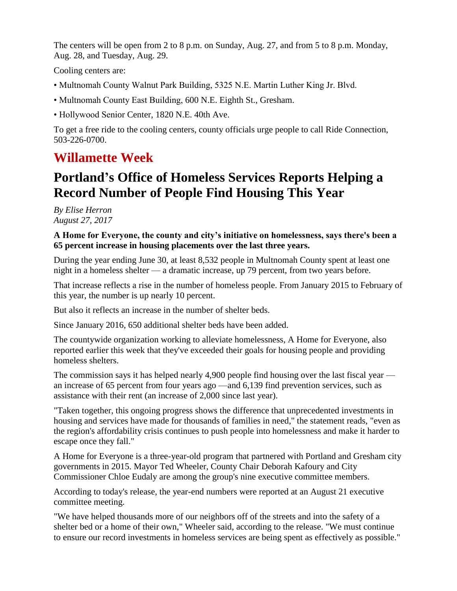The centers will be open from 2 to 8 p.m. on Sunday, Aug. 27, and from 5 to 8 p.m. Monday, Aug. 28, and Tuesday, Aug. 29.

Cooling centers are:

- Multnomah County Walnut Park Building, 5325 N.E. Martin Luther King Jr. Blvd.
- Multnomah County East Building, 600 N.E. Eighth St., Gresham.
- Hollywood Senior Center, 1820 N.E. 40th Ave.

To get a free ride to the cooling centers, county officials urge people to call Ride Connection, 503-226-0700.

### **Willamette Week**

### **Portland's Office of Homeless Services Reports Helping a Record Number of People Find Housing This Year**

*By Elise Herron August 27, 2017*

#### **A Home for Everyone, the county and city's initiative on homelessness, says there's been a 65 percent increase in housing placements over the last three years.**

During the year ending June 30, at least 8,532 people in Multnomah County spent at least one night in a homeless shelter — a dramatic increase, up 79 percent, from two years before.

That increase reflects a rise in the number of homeless people. From January 2015 to February of this year, the number is up nearly 10 percent.

But also it reflects an increase in the number of shelter beds.

Since January 2016, 650 additional shelter beds have been added.

The countywide organization working to alleviate homelessness, A Home for Everyone, also reported earlier this week that they've exceeded their goals for housing people and providing homeless shelters.

The commission says it has helped nearly 4,900 people find housing over the last fiscal year an increase of 65 percent from four years ago —and 6,139 find prevention services, such as assistance with their rent (an increase of 2,000 since last year).

"Taken together, this ongoing progress shows the difference that unprecedented investments in housing and services have made for thousands of families in need," the statement reads, "even as the region's affordability crisis continues to push people into homelessness and make it harder to escape once they fall."

A Home for Everyone is a three-year-old program that partnered with Portland and Gresham city governments in 2015. Mayor Ted Wheeler, County Chair Deborah Kafoury and City Commissioner Chloe Eudaly are among the group's nine executive committee members.

According to today's release, the year-end numbers were reported at an August 21 executive committee meeting.

"We have helped thousands more of our neighbors off of the streets and into the safety of a shelter bed or a home of their own," Wheeler said, according to the release. "We must continue to ensure our record investments in homeless services are being spent as effectively as possible."